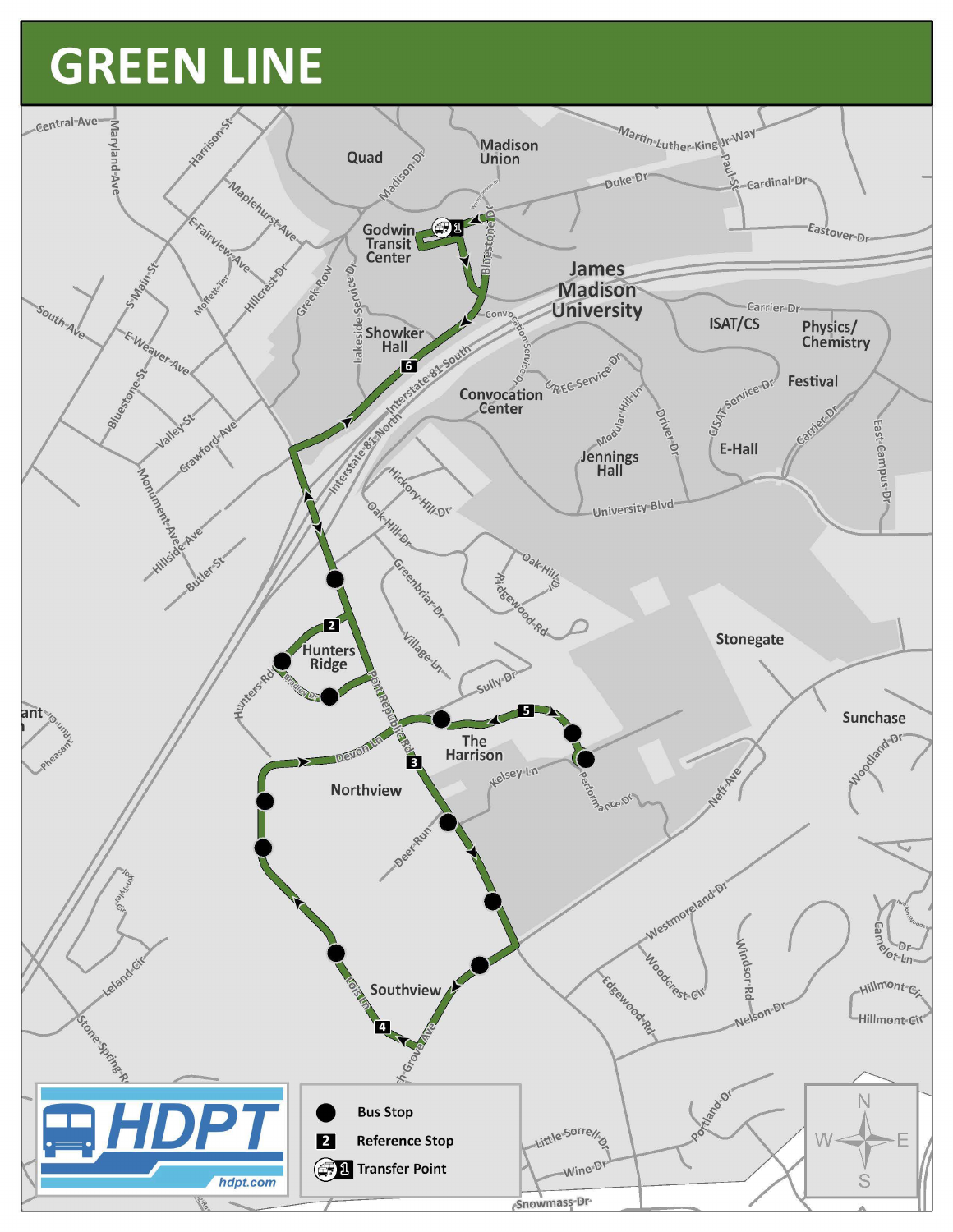## **GREEN LINE**